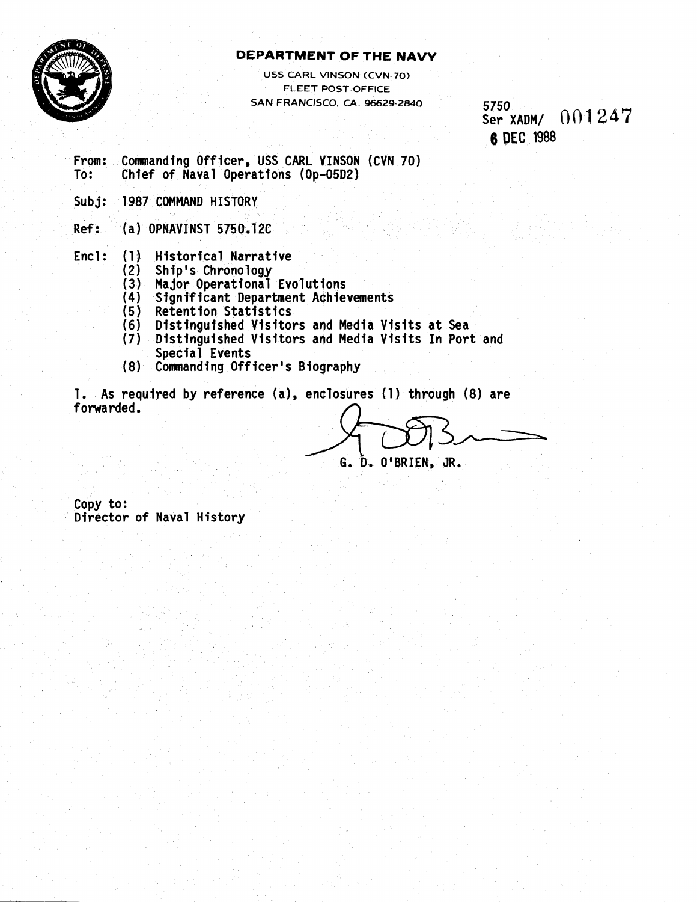

## **DEPARTMENT OF THE NAVY**

USS CARL VINSON (CVN-70) FLEET POST OFFICE SAN FRANCISCO. **CA** 96629-2840

5750 Ser XADM/  $001247$ **6 DEC 1988** 

From: Conmanding Off icer, USS CARL VINSON (CVN 70) To: Chief of Naval Operations (Op-05D2) Sub **j:** 1987 COMMAND HISTORY

Ref: (a) OPNAVINST 5750.12C

Encl: (1) Historical Narrative<br>(2) Ship's Chronology

- (2) Ship's Chronology
- (3) Major Operational Evolutions
- (4) Significant Department Achievements<br>(5) Retention Statistics
- Retention Statistics
- (6) Distinguished Visitors and Media Visits at Sea
- Distinguished Visitors and Media Visits In Port and Special Events
- (8) Commanding Officer's Biography

1. As required by reference (a), enclosures (1) through (8) are forwarded.

G. D. O'BRIEN, JR.

Copy to: Director of Naval History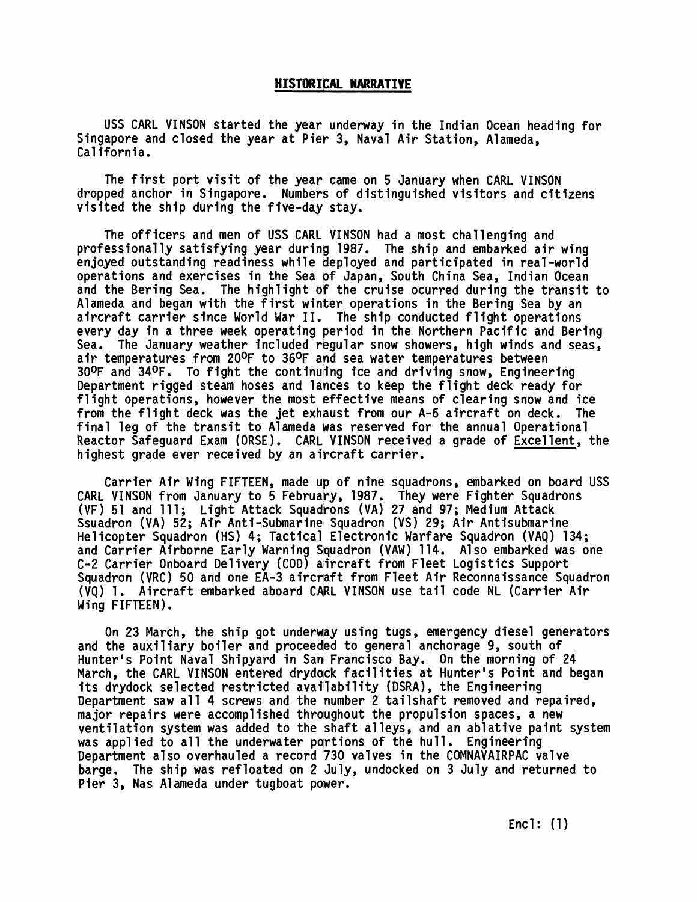#### **HISTORIKAL NARRATIVE**

USS CARL VINSON started the year underway in the Indian Ocean heading for Singapore and closed the year at Pier 3, Naval Air Station, Alameda, California.

The first port visit of the year came on 5 January when CARL VINSON dropped anchor in Singapore. Numbers of distinguished visitors and citizens visited the ship during the five-day stay.

The officers and men of USS CARL VINSON had a most challenging and professionally satisfying year during 1987. The ship and embarked air wing en joyed outstanding readiness while deployed and participated in real -world operations and exercises in the Sea of Japan, South China Sea, Indian Ocean and the Bering Sea. The highlight of the cruise ocurred during the transit to Alameda and began with the first winker operations in the Bering Sea by an aircraft carrier since World War 11. The ship conducted flight operations every day in a three week operating period in the Northern Pacific and Bering Sea. The January weather included regular snow showers, high winds and seas, air temperatures from 200F to 360F and sea water temperatures between 300F and 340F. To fight the continuing ice and driving snow, Engineering Department rigged steam hoses and lances to keep the flight deck ready for flight operations, however the most effective means of clearing snow and ice from the flight deck was the jet exhaust from our A-6 aircraft on deck. The final leg of the transit to Alameda was reserved for the annual Operational Reactor Safeguard Exam (ORSE). CARL VINSON received a grade of Excel lent, the highest grade ever received by an aircraft carrier.

Carrier Air Wing FIFTEEN, made up of nine squadrons, embarked on board USS CARL VINSON from January to 5 February, 1987. They were Fighter Squadrons CARL VINSON from January to 5 February, 1987. They were Fighter Squadr<br>(VF) 51 and 111; Light Attack Squadrons (VA) 27 and 97; Medium Attack Ssuadron (VA) 52; Air Anti-Submarine Squadron (VS) 29; Air Antisubmarine He1 icopter Squadron (HS) 4; Tactical Electronic Warfare Squadron (VAQ) 134; and Carrier Airborne Early Warning Squadron (VAW) 114. Also embarked was one C-2 Carrier Onboard Del ivery (COD) aircraft from Fleet Logistics Support Squadron (VRC) 50 and one EA-3 aircraft from Fleet Air Reconnaissance Squadron (VQ) 1. Aircraft embarked aboard CARL VINSON use tail code NL (Carrier Air Wing FIFTEEN).

On 23 March, the ship got underway using tugs, emergency diesel generators and the auxiliary boiler and proceeded to general anchorage 9, south of Hunter's Point Naval Shipyard in San Francisco Bay. On the morning of 24 March, the CARL VINSON entered drydock facilities at Hunter's Point and began Hunter's Point Naval Shipyard in San Francisco Bay. On the morning o<br>March, the CARL VINSON entered drydock facilities at Hunter's Point a<br>its drydock selected restricted availability (DSRA), the Engineering<br>Persutment sev Department saw all 4 screws and the number 2 tailshaft removed and repaired, major repairs were accomplished throughout the propulsion spaces, a new ventilation system was added to the shaft alleys, and an ablative paint system was applied to all the underwater partions of the hull. Engineering Department also overhauled a record 730 valves in the COMNAVAIRPAC valve barge. The ship was refloated on 2 July, undocked on 3 July and returned to Pier 3, Nas Alameda under tugboat power.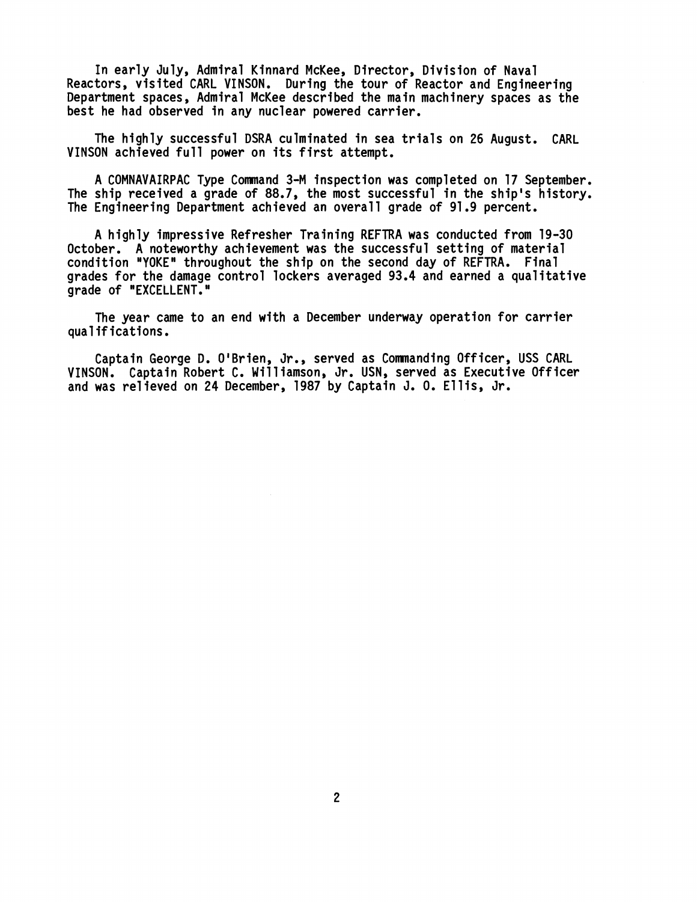**In early July, Admiral Kinnard McKee, Director, Division of Naval Reactors, visited CARL VINSON. During the tour of Reactor and Engineering Department spaces, Admiral McKee described the main machinery spaces as the best he had observed in any nuclear powered carrier.** 

**The highly successful DSRA culminated in sea trials on 26 August. CARL VINSON achieved full power on its first attempt.** 

**A COMNAVAIRPAC Type Command 3-M inspection was completed on 17 September. The ship received a grade of 88.7, the most successful in the ship's history. The Engineering Department achieved an overall grade of 91.9 percent.** 

**A highly impressive Refresher Tral'ning REFTRA was conducted from 19-30 October. A noteworthy achievement was the successful setting of material condition "YOKEn throughout the ship on the second day of REFTRA. Final grades for the damage control lockers averaged 93.4 and earned a qualitative grade of "EXCELLENT.** 

**The year came to an end with a December underway operation for carrier qua1 if ications.** 

Captain George D. O'Brien, Jr., served as Commanding Officer, USS CARL **VINSON. Captain Robert C. Williamson, Jr. USN, served as Executive Officer and was re1 ieved on 24 December, 1987 by Captain J. 0. El 1 is, Jr.**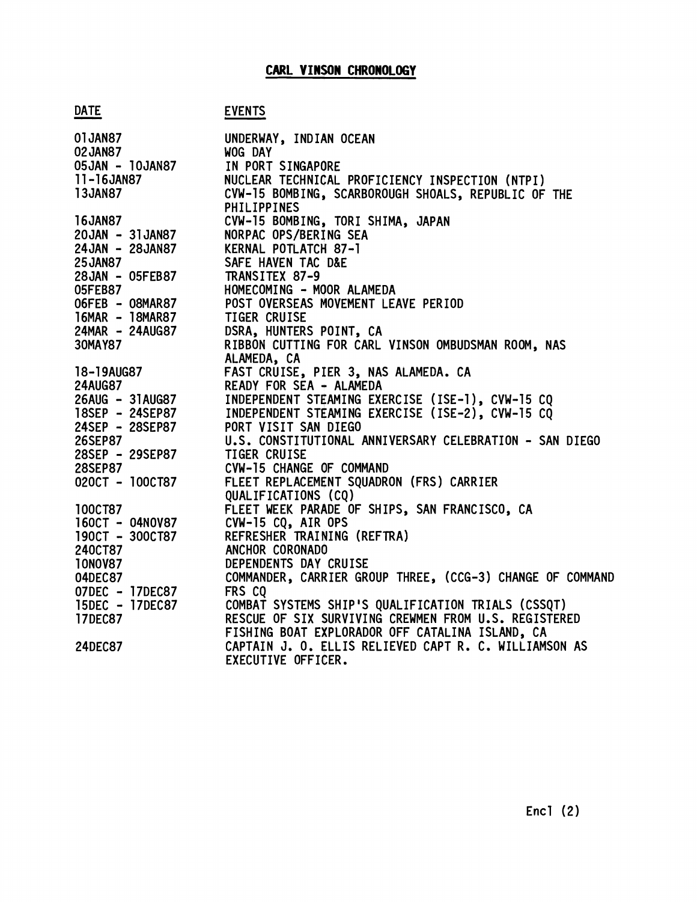<u>DATE</u><br>- DATE EVENTS<br>- DATE EVENTS<br>- UNDERVI UNDERWAY, INDIAN OCEAN 02JAN87 WOG DAY 05JAN - 10JAN87 IN PORT SINGAPORE  $11 - 16$ JAN87 NUCLEAR TECHNICAL PROFICIENCY INSPECTION (NTPI ) **13JAN87** CVW-15 BOMBING, SCARBOROUGH SHOALS, REPUBLIC OF THE PHILIPPINES **16JAN87** CVW-15 BOMBING, TORI SHIMA, JAPAN 20JAN - 31JAN87 NORPAC OPS/BERI NG SEA 24JAN - 28JAN87 KERNAL POTLATCH 87-1 SAFE HAVEN TAC D&E **25JAN87** 28JAN - 05FEB87 TRANSITEX 87-9 **05FEB87** HOMECOMING - MOOR ALAMEDA O6FEB - O8MAR87 POST OVERSEAS NOVEMENT LEAVE PERIOD 16MAR - 18MAR87 TIGER CRUISE 24MAR - 24AUG87 DSRA, HUNTERS POINT, CA 30MAY87 RIBBON CUTTING FOR CARL VINSON OMBUDSMAN ROOM, NAS ALAMEDA, CA 18-19AUG87 FAST CRUISE, PIER 3, NAS ALAMEDA. CA **24AUG87** READY FOR SEA + ALAMEDA 26AUG - 31AUG87 INDEPENDENT STEAMING EXERCISE ( ISE-1) , CVW-15 CQ 18SEP - 24SEP87 INDEPENDENT STEAMING EXERCISE (ISE-2), CVW-15 CQ 24SEP - 28SEP87 PORT VISIT SAN DIEGO U.S. CONSTITUTIONAL ANNIVERSARY CELEBRATION - SAN DIEGO 26SEP87 28SEP - 29SEP87 TIGER CRUISE **28SEP87** CVW-15 CHANGE OF COMMAND 020CT - 100CT87 FLEET REPLACEMENT SQUADRON (FRS) CARRIER QUALIFICATIONS (CQ) **100CT87** FLEET WEEK PARADE OF SHIPS, SAN FRANCISCO, CA 160CT - 04N0V87 CVW-15 CQ, AIR OPS 190CT - 300CT87 REFRESHER TRAINING (REFTRA) 240CT87 ANCHOR CORONADO **10N0V87** DEPENDENTS DAY CRUISE COMMANDER, CARRIER GROUP THREE, (CCG-3) CHANGE OF COMMAND 04DEC87 07DEC - 17DEC87 FRS CQ COMBAT SYSTEMS SHIP 'S QUALIFICATION TRIALS (CSSQT) 15DEC - 17DEC87 **17DEC87** RESCUE OF SIX SURVIVING CREWMEN FROM U.S. REGISTERED FISHING BOAT EXPLORADOR OFF CATALINA ISLAND, CA **24DEC87** CAPTAIN J. 0. ELLIS RELIEVED CAPT R. C. WILLIAMSON AS EXECUTIVE OFFICER.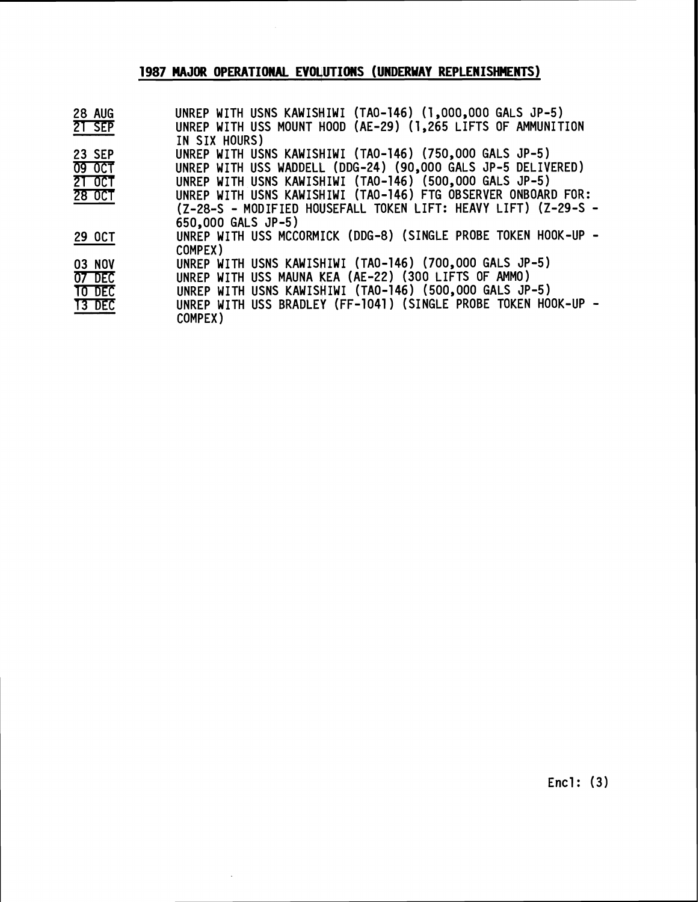## **1987 MAJOR OPERATIONAL EV04UTIONS (UNDERWAY REPLENISHMENTS)**

| <b>28 AUG</b> | UNREP WITH USNS KAWISHIWI (TAO-146) (1,000,000 GALS JP-5)      |
|---------------|----------------------------------------------------------------|
| 21 SEP        | UNREP WITH USS MOUNT HOOD (AE-29) (1,265 LIFTS OF AMMUNITION   |
|               | IN SIX HOURS)                                                  |
| <b>23 SEP</b> | UNREP WITH USNS KAWISHIWI (TAO-146) (750,000 GALS JP-5)        |
| <b>09 OCT</b> | UNREP WITH USS WADDELL (DDG-24) (90,000 GALS JP-5 DELIVERED)   |
| $2T$ OCT      | UNREP WITH USNS KAWISHIWI (TAO-146) (500,000 GALS JP-5)        |
| 28 OCT        | UNREP WITH USNS KAWISHIWI (TAO-146) FTG OBSERVER ONBOARD FOR:  |
|               | (Z-28-S - MODIFIED HOUSEFALL TOKEN LIFT: HEAVY LIFT) (Z-29-S - |
|               | 650,000 GALS JP-5)                                             |
| 29 OCT        | UNREP WITH USS MCCORMICK (DDG-8) (SINGLE PROBE TOKEN HOOK-UP - |
|               | COMPEX)                                                        |
| 03 NOV        | UNREP WITH USNS KAWISHIWI (TAO-146) (700,000 GALS JP-5)        |
| 07 DEC        | UNREP WITH USS MAUNA KEA (AE-22) (300 LIFTS OF AMMO)           |
| <b>TO DEC</b> | UNREP WITH USNS KAWISHIWI (TAO-146) (500,000 GALS JP-5)        |
| <b>T3 DEC</b> | UNREP WITH USS BRADLEY (FF-1041) (SINGLE PROBE TOKEN HOOK-UP - |
|               | COMPEX)                                                        |

 $\sim$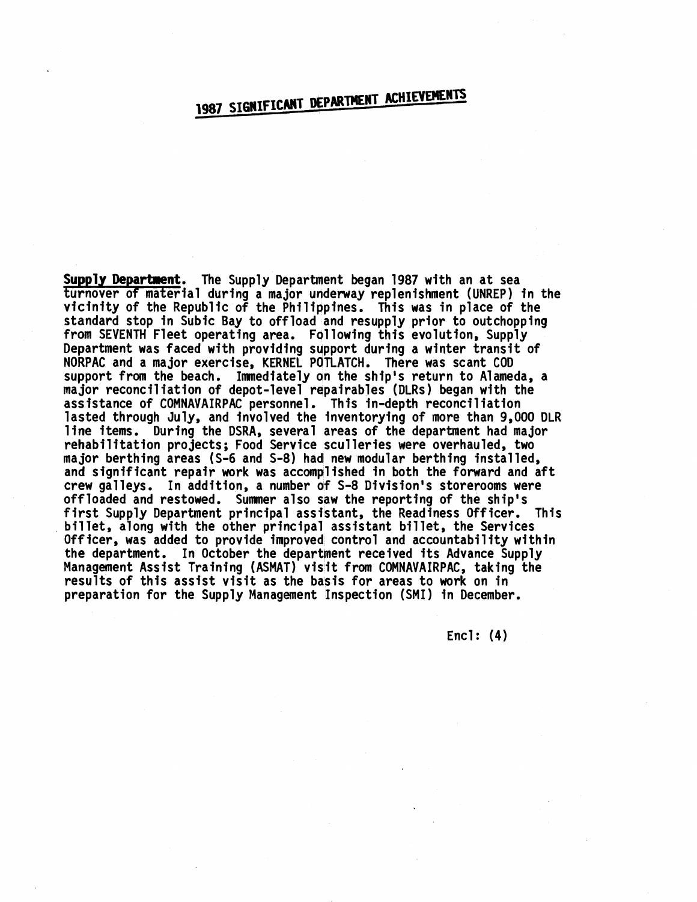# 1987 SIGNIFICANT DEPARTMENT ACHIEVEMENTS

**Supply Department.** The Supply Department began 1987 with an at sea turnover of material during a major underway replenishment (UNREP) in the vicinity of the Republic of the Philippines. This was in place of the standard stop in Subic Bay to offload and resupply prior to outchopping from SEVENTH Fleet operating area. Following this evolution, Supply Department was faced with providing support during a winter transit of NORPAC and a major exercise, KERNEL POTLATCH. There was scant COD support from the beach. Immediately on the ship's return to Alameda, a major reconciliation of depot-level repairables (DLRs) began with the assistance of COMNAVAIRPAC personnel. This in-depth reconci 1 iation lasted through July, and involved the inventorying of more than 9,000 DLR 1 ine items. During the DSRA, several areas of the department had major rehabilitation projects; Food Service sculleries were overhauled, two major berthing areas (S-6 and S-8) had new modular berthing instal led, and significant repair work was accomplished in both the forward and aft crew galleys. In addition, a number of S-8 Division's storerooms were offloaded and restowed. Summer also saw the reporting of the ship's first Supply Department principal assistant, the Readiness Officer. This billet, along with the other principal assistant billet, the Services Officer, was added to provide improved control and accountability within the department. In October the department received its Advance Supply UTTICER, WAS added to provide improved control and accountability withit<br>the department. In October the department received its Advance Supply<br>Management Assist Training (ASMAT) visit from COMNAVAIRPAC, taking the<br>neculie results of this assist visit as the basis for areas to work on in preparation for the Supply Management Inspection (SMI) in December.

Encl: (4)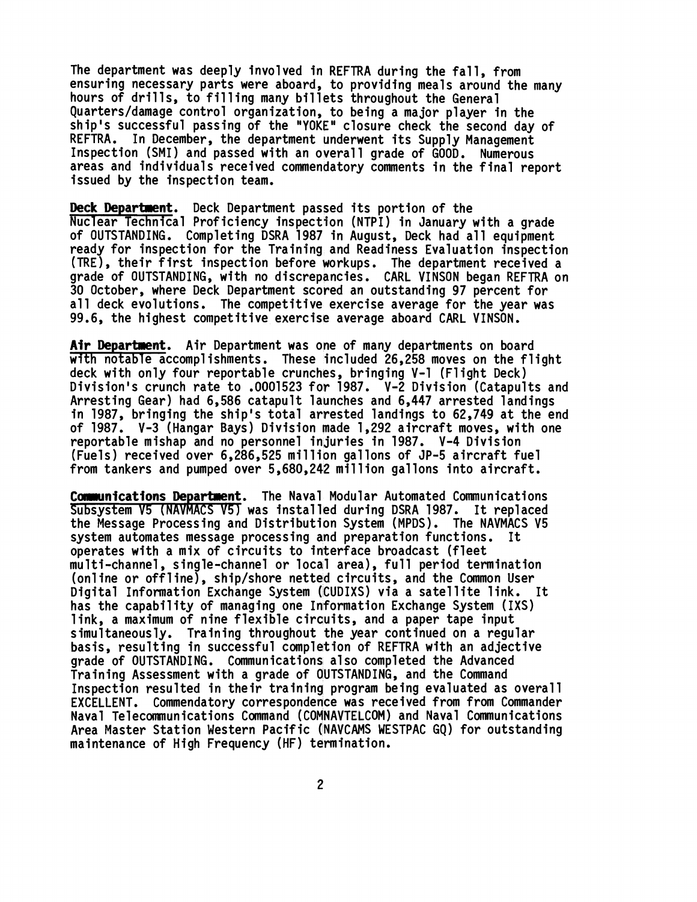The department was deeply involved in REFTRA during the fall, from ensuring necessary parts were aboard, to providing meals around the many hours of drills, to filling many billets throughout the General Quarters/damage control organization, to being a major player in the ship's successful passing of the "YOKE" closure check the second day of REFTRA. In December, the department underwent its Supply Management Inspection (SMI) and passed with an overall grade of GOOD. Numerous areas and individuals received commendatory comments in the final report issued by the inspection team.

**Deck Department.** Deck Department passed its portion of the Nuclear Technical Proficiency inspection (NTPI) in January with a grade of OUTSTANDING. Completing DSRA 1987 in August, Deck had all equipment ready for inspection for the Training and Readiness Evaluation inspection (TRE) , their first inspect ion before workups. The department received a grade of OUTSTANDING, with no discrepancies. CARL VINSON began REFTRA on 30 October, where Deck Department scored an outstanding 97 percent for all deck evolutions. The competitive exercise average for the year was<br>99.6, the highest competitive exercise average aboard CARL VINSON. exercise average and individuals received commendatory comments is Supply Management Inspection (SMI) and passed with an overall grade of GOOD. Numerous areas and individuals received commendatory comments in the final rep

with notable  $\bar{a}$  ccomplishments. These included 26,258 moves on the flight deck with only four reportable crunches, bringing V-1 (Flight Deck) Division's crunch rate to .0001523 for 1987. V-2 Division (Catapults and Arresting Gear) had 6,586 catapult launches and 6,447 arrested landings in 1987, bringing the ship's total arrested landings to 62,749 at the end of 1987. V-3 (Hangar Bays) Division made 1,292 aircraft moves, with one reportable mishap and no personnel inljuries in 1987. V-4 Division (Fuels) received over 6,286,525 million gallons of JP-5 aircraft fuel from tankers and pumped over 5,680,242 million gallons into aircraft.

Communications Department. The Naval Modular Automated Communications Subsystem V5 (NAVMACS V51 was installed during DSRA 1987. It replaced the Message Processing and Distribution System (MPDS) . The NAVMACS V5 system automates message processing and preparation functions. It operates with a mix of circuits to interface broadcast (fleet operates with a mix of circuits to interface broadcast (fleet<br>multi-channel, single-channel or local area), full period termination nulti-channel, single-channel or local area), full period termination<br>(online or offline), ship/shore netted circuits, and the Common User (online or offline), ship/shore netted circuits, and the Common User<br>Digital Information Exchange System (CUDIXS) via a satellite link. It has the capability of managing one Information Exchange System (IXS) link, a maximum of nine flexible circuits, and a paper tape input simultaneously. Training throughout the year continued on a regular basis, resulting in successful completion of REFTRA with an adjective grade of OUTSTANDING. Communications a1 so completed the Advanced Training Assessment with a grade of OUTSTANDING, and the Command Inspection resulted in their training program being evaluated as overall EXCELLENT. Commendatory correspondence was received from from Commander Naval Telecmun ications Command (COMNAVTELCOM) and Naval Communications Area Master Station Western Pacific (NAVCAMS WESTPAC GQ) for outstanding maintenance of High Frequency (HF) termination.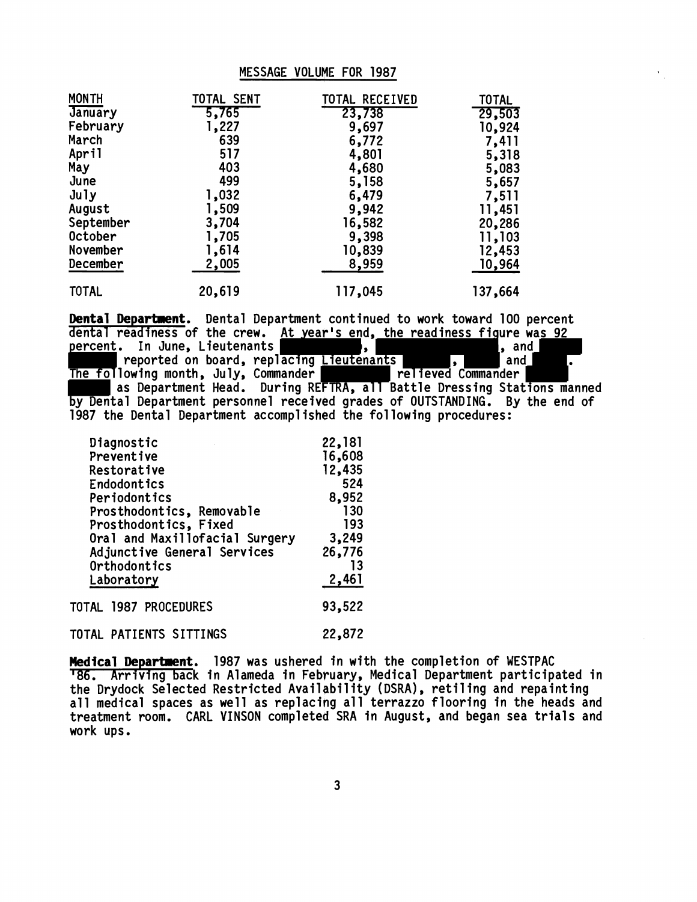#### MESSAGE VOLUME FOR 1987

| <b>MONTH</b> | TOTAL SENT | TOTAL RECEIVED | <b>TOTAL</b> |
|--------------|------------|----------------|--------------|
| January      | 5,765      | 23,738         | 29,503       |
| February     | 1,227      | 9,697          | 10,924       |
| March        | 639        | 6,772          | 7,411        |
| April        | 517        | 4,801          | 5,318        |
| May          | 403        | 4,680          | 5,083        |
| June         | 499        | 5,158          | 5,657        |
| July         | 1,032      | 6,479          | 7,511        |
| August       | 1,509      | 9,942          | 11,451       |
| September    | 3,704      | 16,582         | 20,286       |
| October      | 1,705      | 9,398          | 11,103       |
| November     | 1,614      | 10,839         | 12,453       |
| December     | 2,005      | 8,959          | 10,964       |
| <b>TOTAL</b> | 20,619     | 117,045        | 137,664      |

**Dental Departnent.** Dental Department continued to work toward 100 percent dental readiness of the crew. At year's end, the readiness figure was 92 percent. In June, Lieutenants percent. In June, Lieutenants , , , , , , , and , , and , replacing Lieutenants , , , , , and , reported on board, replacing Lieutenants , and . The following month, July, Commander as Department Head. During REFTRA, all Battle Dressing Stations manned by Dental Department personnel received grades of OUTSTANDING. By the end of 1987 the Dental Department accomplished the following procedures:

| Diagnostic                     | 22,181 |
|--------------------------------|--------|
| Preventive                     | 16,608 |
| Restorative                    | 12,435 |
| Endodontics                    | 524    |
| Periodontics                   | 8,952  |
| Prosthodontics, Removable      | 130    |
| Prosthodontics, Fixed          | 193    |
| Oral and Maxillofacial Surgery | 3,249  |
| Adjunctive General Services    | 26,776 |
| Orthodontics                   | 13     |
| Laboratory                     | 2,461  |
| TOTAL 1987 PROCEDURES          | 93,522 |
| TOTAL PATIENTS SITTINGS        | 22,872 |

**Medical Department.** 1987 was ushered in with the completion of WESTPAC <sup>1</sup>86. Arriving back in Alameda in February, Medical Department participated in the Drydock Selected Restricted Availability (DSRA), retiling and repainting all medical spaces as well as replacing all terrazzo flooring in the heads and treatment room. CARL VINSON completed SRA in August, and began sea trials and work ups.

 $\mathbf{3}$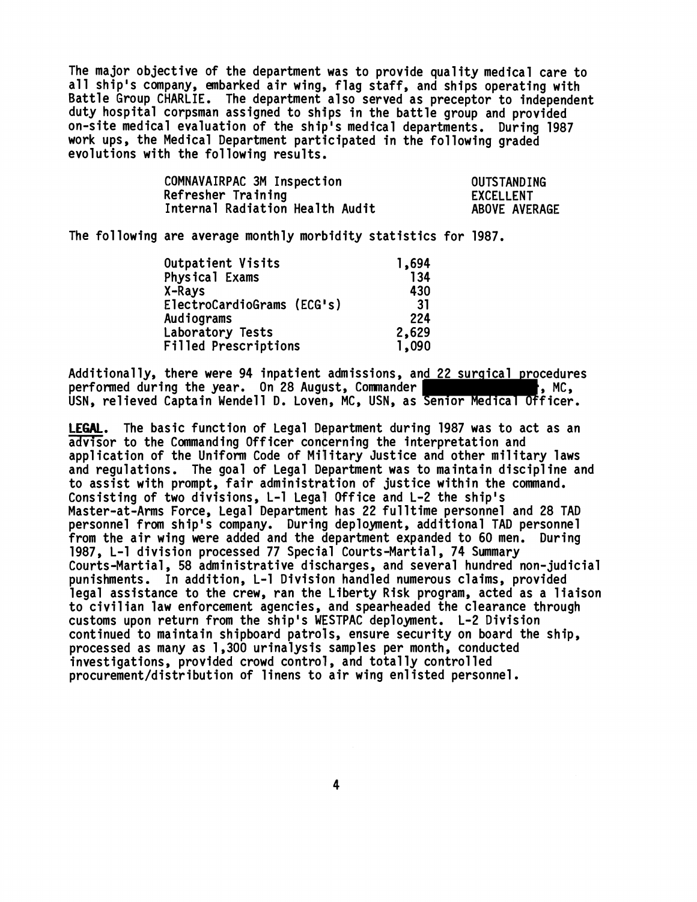The major objective of the department was to provide quality medical care to all ship's company, embarked air wing, flag staff, and ships operating with Battle Group CHARLIE. The department also served as preceptor to independent duty hospital corpsman assigned to ships in the battle group and provided on-site medical evaluation of the ship's medical departments. During 1987 work ups, the Medical Department participated in the following graded evolutions with the following results,

| COMNAVAIRPAC 3M Inspection      | OUTSTANDING      |
|---------------------------------|------------------|
| Refresher Training              | <b>EXCELLENT</b> |
| Internal Radiation Health Audit | ABOVE AVERAGE    |

The following are average monthly morbidity statistics for 1987.

| Outpatient Visits           | 1,694 |
|-----------------------------|-------|
| Physical Exams              | 134   |
| X-Rays                      | 430   |
| ElectroCardioGrams (ECG's)  | 31    |
| Audiograms                  | 224   |
| Laboratory Tests            | 2,629 |
| <b>Filled Prescriptions</b> | 1,090 |

Additionally, there were 94 inpatient admissions, and 22 surgical procedures performed during the year. On 28 August, Comniander , MC, USN, relieved Captain Wendell D. Loveh, MC, USN, as Senior Medical Officer.

**LEGAL.** The basic function of Legal Department during 1987 was to act as an advisor to the Commanding Officer concerning the interpretation and application of the Uniform Code of Military Justice and other military laws and regulations. The goal of Legal Department was to maintain discipline and to assist with prompt, fair administration of justice within the command. Consisting of two divisions, L-1 Legal Office and L-2 the ship's Master-at-Arms Force, Legal Department has 22 fulltime personnel and 28 TAD personnel from ship's company. During deployment, additional TAD personnel from the air wing were added and the department expanded to 60 men. During 1987, L-1 division processed 77 Special Courts-Martial, 74 Summary Courts-Martial , 58 administrative discharges, and several hundred non- judicial punishments. In addition, L-1 Division handled numerous claims, provided legal assistance to the crew, ran the Liberty Risk program, acted as a liaison to civilian law enforcement agencies, and spearheaded the clearance through customs upon return from the ship's WESTPAC deployment. L-2 Division continued to maintain shipboard patrols, ensure security on board the ship, processed as many as 1,300 urinalysis samples per month, conducted investigations, provided crowd control, and total ly control led **procurement/distribution** of linens to air wing enlisted personnel.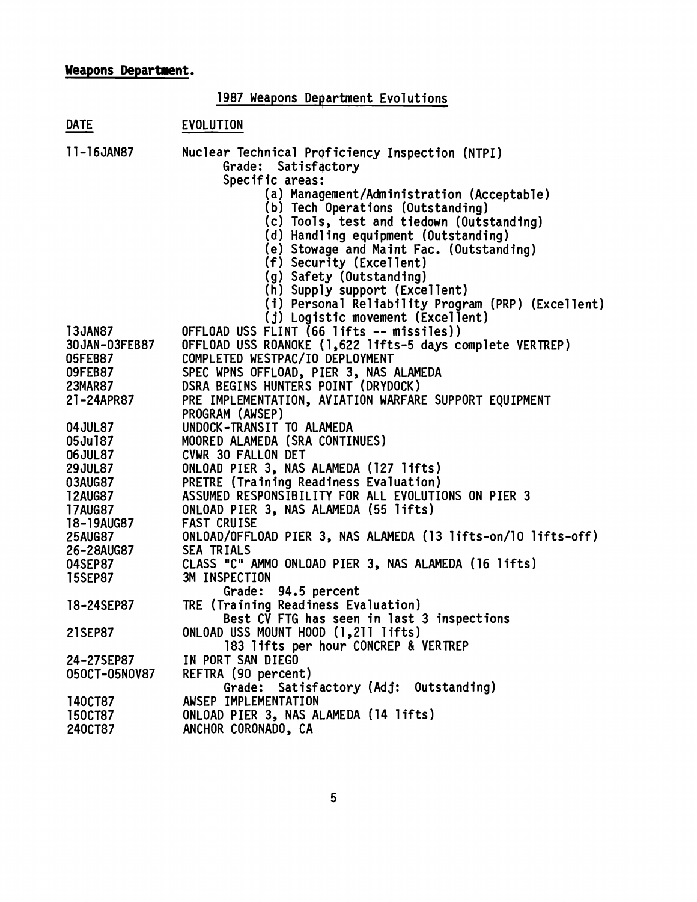## **Weapons Department.**

| <b>Weapons Department.</b>                                                                                   |                                                                                                                                                                                                                                                                                                                                                                                                                                                                  |  |  |
|--------------------------------------------------------------------------------------------------------------|------------------------------------------------------------------------------------------------------------------------------------------------------------------------------------------------------------------------------------------------------------------------------------------------------------------------------------------------------------------------------------------------------------------------------------------------------------------|--|--|
|                                                                                                              | 1987 Weapons Department Evolutions                                                                                                                                                                                                                                                                                                                                                                                                                               |  |  |
| <b>DATE</b>                                                                                                  | EVOLUTION                                                                                                                                                                                                                                                                                                                                                                                                                                                        |  |  |
| 11-16JAN87                                                                                                   | Nuclear Technical Proficiency Inspection (NTPI)<br>Grade:<br>Satisfactory<br>Specific areas:<br>(a) Management/Administration (Acceptable)<br>(b) Tech Operations (Outstanding)<br>(c) Tools, test and tiedown (Outstanding)<br>(d) Handling equipment (Outstanding)<br>(e) Stowage and Maint Fac. (Outstanding)<br>(f) Security (Excellent)<br>(g) Safety (Outstanding)<br>(h) Supply support (Excellent)<br>(i) Personal Reliability Program (PRP) (Excellent) |  |  |
| <b>13JAN87</b><br>30 JAN-03FEB87<br>05FEB87<br>09FEB87<br>23MAR87<br>21-24APR87                              | (j) Logistic movement (Excellent)<br>OFFLOAD USS FLINT (66 lifts -- missiles))<br>OFFLOAD USS ROANOKE (1,622 lifts-5 days complete VERTREP)<br>COMPLETED WESTPAC/IO DEPLOYMENT<br>SPEC WPNS OFFLOAD, PIER 3, NAS ALAMEDA<br>DSRA BEGINS HUNTERS POINT (DRYDOCK)<br>PRE IMPLEMENTATION, AVIATION WARFARE SUPPORT EQUIPMENT<br>PROGRAM (AWSEP)                                                                                                                     |  |  |
| <b>04JUL87</b><br>05Ju187<br><b>06JUL87</b><br><b>29JUL87</b><br>03AUG87<br><b>12AUG87</b><br><b>17AUG87</b> | UNDOCK-TRANSIT TO ALAMEDA<br>MOORED ALAMEDA (SRA CONTINUES)<br>CVWR 30 FALLON DET<br>ONLOAD PIER 3, NAS ALAMEDA (127 lifts)<br>PRETRE (Training Readiness Evaluation)<br>ASSUMED RESPONSIBILITY FOR ALL EVOLUTIONS ON PIER 3<br>ONLOAD PIER 3, NAS ALAMEDA (55 lifts)                                                                                                                                                                                            |  |  |
| 18-19AUG87<br><b>25AUG87</b><br>26-28AUG87<br>04SEP87<br><b>15SEP87</b>                                      | <b>FAST CRUISE</b><br>ONLOAD/OFFLOAD PIER 3, NAS ALAMEDA (13 lifts-on/10 lifts-off)<br>SEA TRIALS<br>CLASS "C" AMMO ONLOAD PIER 3, NAS ALAMEDA (16 lifts)<br>3M INSPECTION                                                                                                                                                                                                                                                                                       |  |  |
| 18-24SEP87                                                                                                   | Grade: 94.5 percent<br>TRE (Training Readiness Evaluation)<br>Best CV FTG has seen in last 3 inspections                                                                                                                                                                                                                                                                                                                                                         |  |  |
| 21SEP87                                                                                                      | ONLOAD USS MOUNT HOOD (1,211 lifts)<br>183 lifts per hour CONCREP & VERTREP                                                                                                                                                                                                                                                                                                                                                                                      |  |  |
| 24-27SEP87<br>050CT-05N0V87                                                                                  | IN PORT SAN DIEGO<br>REFTRA (90 percent)<br>Grade: Satisfactory (Adj: Outstanding)                                                                                                                                                                                                                                                                                                                                                                               |  |  |
| <b>140CT87</b><br><b>150CT87</b><br>240CT87                                                                  | AWSEP IMPLEMENTATION<br>ONLOAD PIER 3, NAS ALAMEDA (14 lifts)<br>ANCHOR CORONADO, CA                                                                                                                                                                                                                                                                                                                                                                             |  |  |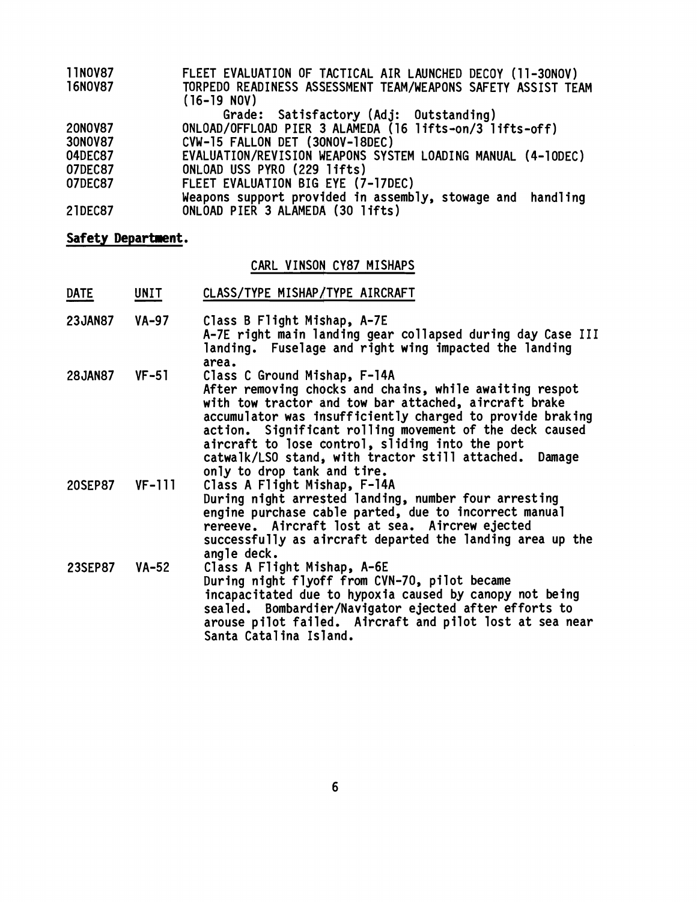| <b>11N0V87</b> | FLEET EVALUATION OF TACTICAL AIR LAUNCHED DECOY (11-30NOV)                    |
|----------------|-------------------------------------------------------------------------------|
| 16N0V87        | TORPEDO READINESS ASSESSMENT TEAM/WEAPONS SAFETY ASSIST TEAM<br>$(16-19 N0V)$ |
|                | Grade: Satisfactory (Adj: Outstanding)                                        |
| 20NOV87        | ONLOAD/OFFLOAD PIER 3 ALAMEDA (16 lifts-on/3 lifts-off)                       |
| 30N0V87        | CVW-15 FALLON DET (30NOV-18DEC)                                               |
| 04DEC87        | EVALUATION/REVISION WEAPONS SYSTEM LOADING MANUAL (4-10DEC)                   |
| 07DEC87        | ONLOAD USS PYRO (229 lifts)                                                   |
| 07DEC87        | FLEET EVALUATION BIG EYE (7-17DEC)                                            |
|                | Weapons support provided in assembly, stowage and handling                    |
| 21DEC87        | ONLOAD PIER 3 ALAMEDA (30 lifts)                                              |

# **Safety Deparlment.**

# CARL VINSON CY87 MISHAPS

| Safety Department. |              |                                                                                                                                                                                                                                                                                                                                                                                                   |  |
|--------------------|--------------|---------------------------------------------------------------------------------------------------------------------------------------------------------------------------------------------------------------------------------------------------------------------------------------------------------------------------------------------------------------------------------------------------|--|
|                    |              | CARL VINSON CY87 MISHAPS                                                                                                                                                                                                                                                                                                                                                                          |  |
| <b>DATE</b>        | UNIT         | CLASS/TYPE MISHAP/TYPE AIRCRAFT                                                                                                                                                                                                                                                                                                                                                                   |  |
| <b>23JAN87</b>     | <b>VA-97</b> | Class B Flight Mishap, A-7E<br>A-7E right main landing gear collapsed during day Case III<br>landing. Fuselage and right wing impacted the landing                                                                                                                                                                                                                                                |  |
| <b>28JAN87</b>     | $VF-51$      | area.<br>Class C Ground Mishap, F-14A<br>After removing chocks and chains, while awaiting respot<br>with tow tractor and tow bar attached, aircraft brake<br>accumulator was insufficiently charged to provide braking<br>action. Significant rolling movement of the deck caused<br>aircraft to lose control, sliding into the port<br>catwalk/LSO stand, with tractor still attached.<br>Damage |  |
| 20SEP87            | $VF-111$     | only to drop tank and tire.<br>Class A Flight Mishap, F-14A<br>During night arrested landing, number four arresting<br>engine purchase cable parted, due to incorrect manual<br>rereeve. Aircraft lost at sea. Aircrew ejected<br>successfully as aircraft departed the landing area up the                                                                                                       |  |
| <b>23SEP87</b>     | $VA-52$      | angle deck.<br>Class A Flight Mishap, A-6E<br>During night flyoff from CVN-70, pilot became<br>incapacitated due to hypoxia caused by canopy not being<br>sealed. Bombardier/Navigator ejected after efforts to<br>arouse pilot failed. Aircraft and pilot lost at sea near<br>Santa Catalina Island.                                                                                             |  |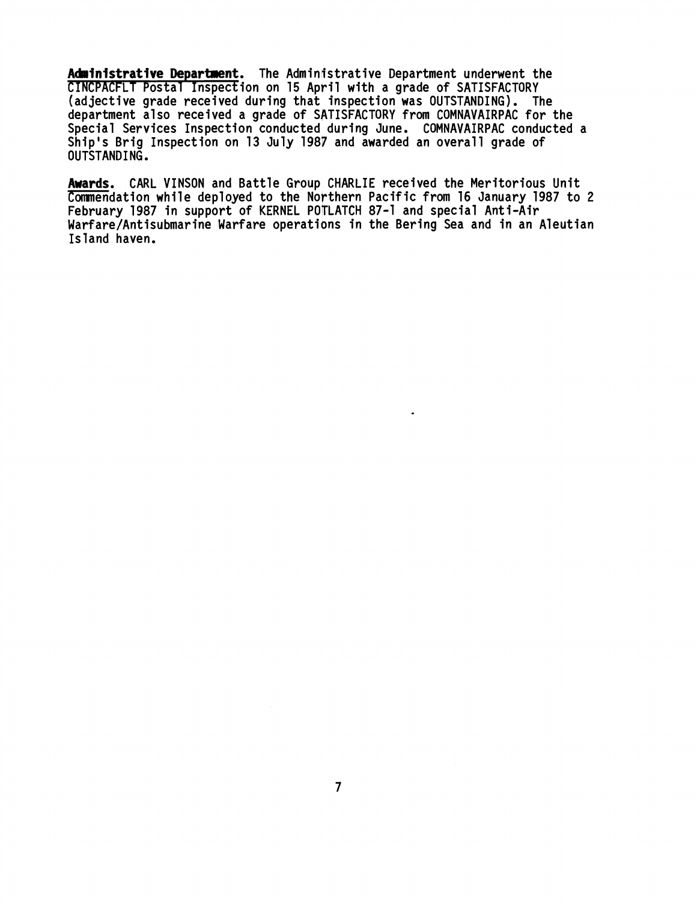Administrative Department. The Administrative Department underwent the CINCPACFLT Postal Inspection on 15 April with a grade of SATISFACTORY (adjective grade received during that inspection was OUTSTANDING). The department also received a grade of SATISFACTORY from COMNAVAIRPAC for the Special Services Inspection conducted during June. COMNAVAIRPAC conducted a Ship's Brig Inspection on 13 July 198P and awarded an overall grade of OUTSTANDI NG .

**Awards.** CARL VINSON and Battle Group CHARLIE received the Meritorious Unit Commendation while deployed to the Northern Pacific from 16 January 1987 to 2 February 1987 in support of KERNEL POTLATCH 87-1 and special Anti-Air Warfare/Antisubmarine Warfare operations in the Bering Sea and in an Aleutian Island haven.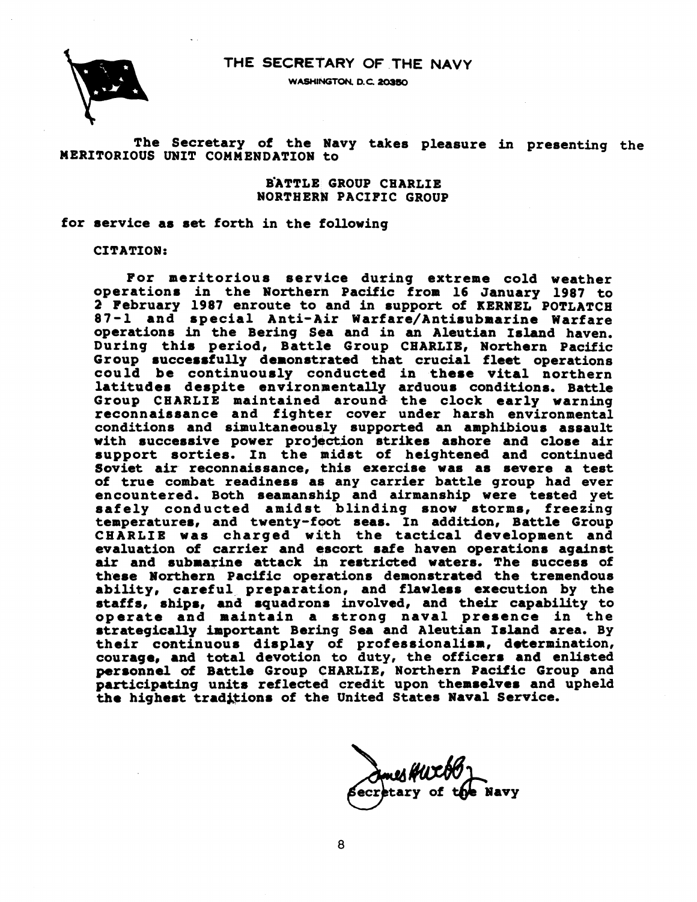## **THE SECRETARY OF THE NAVY**





The Secretary of the Navy takes pleasure in presenting the MERITORIOUS UNIT COMMENDATION to

> BATTLE GROUP CHARLIE **NORTHERN PACIFIC GROUP**

for service as set forth in the following

CITATION:

For meritorious service during extreme cold weather operation8 in the Northern Pacific from 16 January 1987 to 2 February 1987 enroute to and in support of KERNEL POTLATCH e rebruary 1987 enroute to and in support or KERNEL POTLATCH<br>87-1 and special Anti-Air Warfare/Antisubmarine Warfare operations in the Bering Sea and in an Aleutian Island haven. During this period, Battle Group CHARLIE, Northern Pacific Group successfully demonstrated that crucial fleet operations could be continuously conducted in these vital northern latitudes despite environmentally arduous conditions. Battle Group CHARLIE maintained aroma the clock early warning reconnaissance and fighter cover under harsh environmental conditions and simultaneously supported an amphibious assault with successive power projection strikes ashore and close air support sorties. In the midst of heightened and continued Soviet air reconnaissance, this exercise was as severe a test of true combat readiness as any carrier battle group had ever encountered, Both seamanship and airmanship were tested yet safely conducted amidst blinding snow storms, freezing temperatures, and twenty-foot seas. In addition, Battle Group CHARLIE was charged with the tactical development and evaluation of carrier and escort safe haven operations against<br>air and submarine attack in restricted waters. The success of these Northern Pacific operations demonstrated the tremendous ability, careful preparation, and flawless execution by the staffs, ships, and squadrons involved, and their capability to operate and maintain a strong naval presence in the strategically important Bering Sea and Aleutian Island area. By their continuous display of professionalism, determination, courage, and total devotion to duty, the officer8 and enlisted personnel of Battle Group CHARLIE, Northern Pacific Group and participating units reflected credit upon themselves and upheld the highest traditions of the United States Naval Service.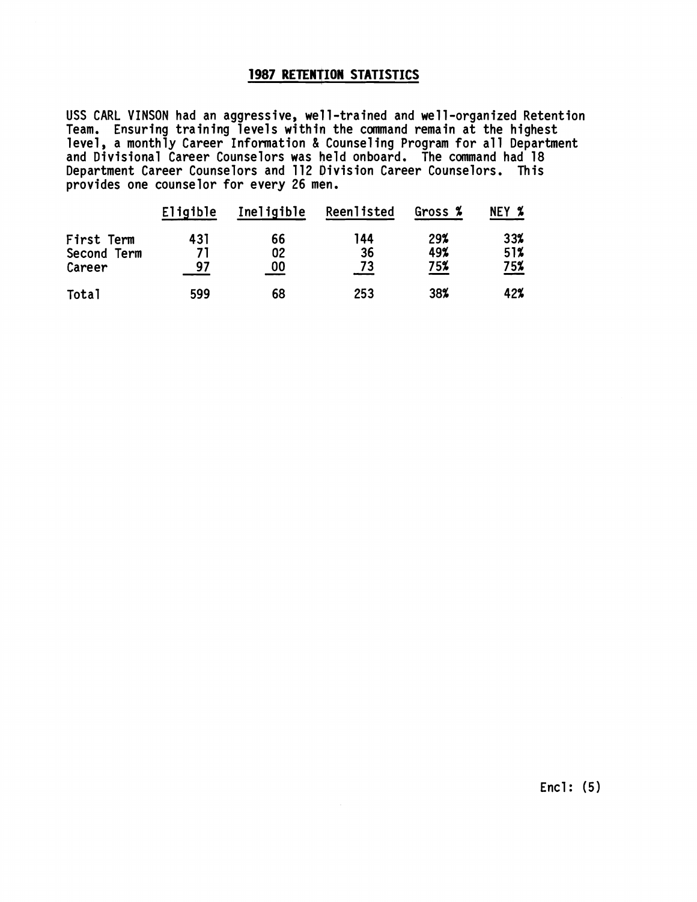## **1987 RETENTION STATISTICS**

USS CARL VINSON had an aggressive, well-trained and well-organized Retention **Team. Ensuring training levels within the command remain at the highest level, a monthly Career Information** & **Counsel ing Program for a1 1 Department and Divisional Career Counselors was held onboard. The command had 18 Department Career Counselors and 112 Division Career Counselors. This provides one counselor for every 26 men.** 

|             | Eligible | Ineligible | Reenlisted | Gross % | NEY %      |
|-------------|----------|------------|------------|---------|------------|
| First Term  | 431      | 66         | 144        | 29%     | 33%        |
| Second Term | 71       | 02         | 36         | 49%     | 51%        |
| Career      | 97       | 00         | 73         | 75%     | <u>75%</u> |
| Total       | 599      | 68         | 253        | 38%     | 42%        |

**Encl: (5)**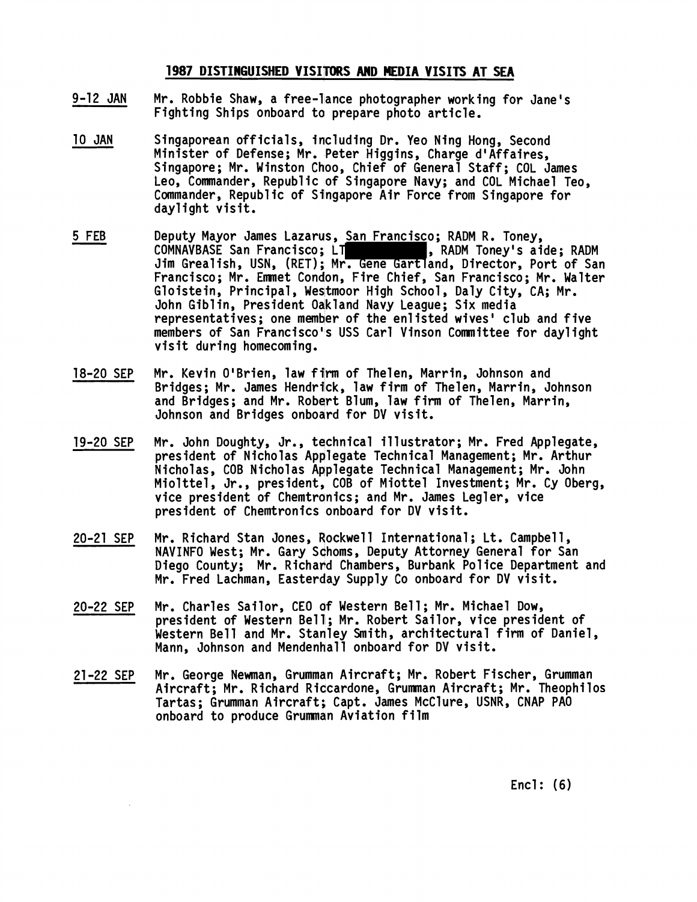### 1987 DISTINGUISHED VISITORS AND MEDIA VISITS AT SEA

- **9-12 JAN**  Mr. Robbie Shaw, a free-lance photographer working for Jane's **Fighting Ships onboard ta prepare photo article.**
- **10 JAN**  - **5 FEB Singaporean officials, including Dr. Yeo Ning Hong, Second**  Minister of Defense; Mr. Peter Higgins, Charge d'Affaires, Singapore; Mr. Winston Choo, Chief of General Staff; COL James **Leo, Commander, Republic of Singapore Navy; and COL Michael Teo, Commander, Republic of Singapore Air Force from Singapore for daylight visit.**
- **Deputy Mayor James Lazarus, San Francisco; RADM R. Toney, COMNAVBASE San Francisco; LT , RADM Toney's aide; RADM Jim Grealish, USN, (RET); Mr. Gene Gartland, Director, Port of San Francisco; Mr. Emnet Condon, Fire Chief, San Francisco; Mr. Walter**  Gloistein, Principal, Westmoor High School, Daly City, CA; Mr. **John Giblin, President Odkland Navy League; Six media representatives; one member of the en1 isted wives' club and five members of San Francisco's USS Carl Vinson Comnittee for daylight visit during homecoming.**
- **18-20 SEP Mr. Kevin OIBrien, law film of Thelen, Marrin, Johnson and Bridges; Mr. James Hendriick, law firm of Thelen, Marrin, Johnson and Bridges; and Mr. Robqrt Blum, law firm of Thelen, Marrin, Johnson and Bridges onboard for DV visit.**
- **19-20 SEP Mr. John Doughty, Jr., technical illustrator; Mr. Fred Applegate, president of Nicholas Applegate Technical Management; Mr. Arthur Nicholas, COB Nicholas Applegate Technical Management; Mr. John Miolttel, Jr., president, COB of Miottel Investment; Mr. Cy Oberg, vice president of Chemtranics; and Mr. James Legler, vice president of Chemtronics onboard for DV visit.**
- **20-21 SEP Mr. Richard Stan Jones, Rockwell International** ; **Lt. Campbell, NAVINFO West; Mr. Gary Schoms, Deputy Attorney General for San Diego County; Mr. Richard Chambers, Burbank Pol ice Department and Mr. Fred Lachman, Easterday Supply Co onboard for DV visit.**
- **20-22 SEP Mr. Charles Sailor, CEO of Western Be1 <sup>1</sup>**; **Mr. Michael Dow, president of Western Bell; Mr. Robert Sailor, vice president of Western Bell and Mr. Stanley Smith, architectural firm of Daniel, Mann, Johnson and Mendenhall onboard for DV visit.**
- **21-22 SEP**  Mr. George Newman, Grumman Aircraft; Mr. Robert Fischer, Grumman **Aircraft; Mr. Richard Ridcardone, Grumman Aircraft; Mr. Theophi 10s Tartas; Grumman Aircraft; Capt. James McClure, USNR, CNAP PA0 onboard to produce Grumman Aviation film**

**Encl: (6)**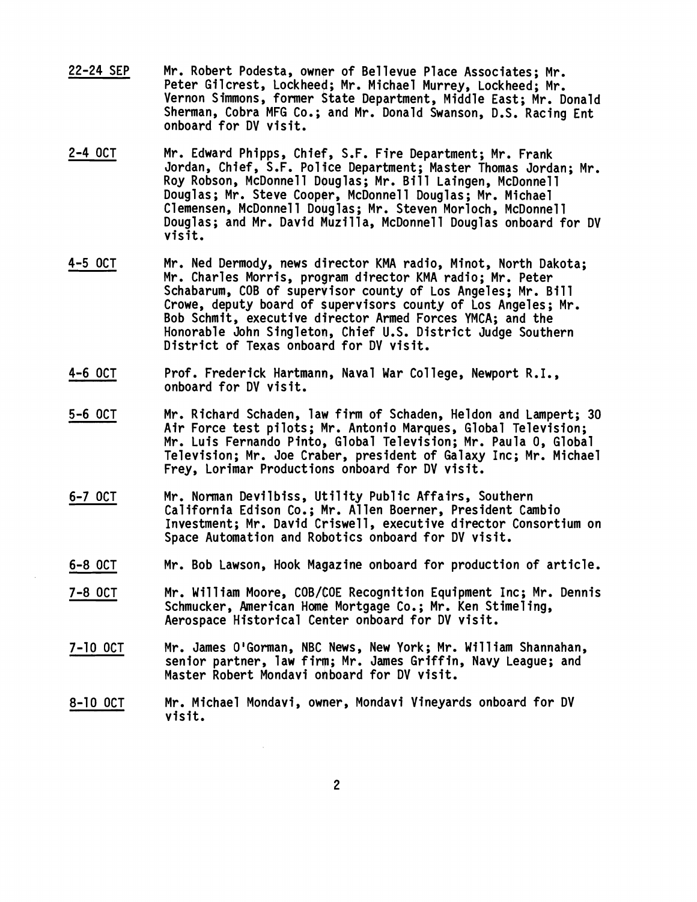- 22-24 SEP Mr. Robert Podesta, owner of Bellevue Place Associates; Mr. Peter Gilcrest, Lockheed; Mr. Michael Murrey, Lockheed; Mr. Vernon Simmons, former State Department, Middle East; Mr. Donald Sherman, Cobra MFG Co.; and Mr. Donald Swanson, D.S. Racing Ent onboard for DV visit.
- 2-4 OCT Mr. Edward Phipps, Chief, S.F. Fire Department; Mr. Frank Jordan, Chief, S.F. Police Department; Master Thomas Jordan; Mr. Roy Robson, McDonnell Douglas; Mr. Bill Laingen, McDonnell Douglas; Mr. Steve Cooper, McDonnell Douglas; Mr. Michael Clemensen, McDonnell Douglas; Mr. Steven Morloch, McDonnell Douglas; and Mr. David Huzilla, McDonnell Douglas onboard for DV visit.
- 4-5 OCT Mr. Ned Dermody, news director KMA radio, Minot, North Dakota; Mr. Charles Morris, program director KMA radio; Mr. Peter Schabarum, COB of supervisor county of Los Angeles; Mr. Bill Crowe, deputy board of supervisors county of Los Angeles; Mr. Bob Schmit, executive director Armed Forces YMCA; and the Honorable John Singleton, Chief U.S. District Judge Southern District of Texas onboard for DV visit.
- 4-6 OCT Prof. Frederick Hartmann, Naval War College, Newport R.I., onboard for DV visit.
- 5-6 OCT Mr. Richard Schaden, law firm of Schaden, Heldon and Lampert; 30 Air Force test pilots; Mr. Antonio Marques, Global Television; Mr. Luis Fernando Pinto, Global Television; Mr. Paula 0, Global Television; Mr. Joe Craber, president of Galaxy Inc; Mr. Michael Frey, Lorimar Productions onboard for DV visit.
- 6-7 OCT Mr. Norman Devilbiss, Utility Public Affairs, Southern California Edison Co.; Mr. Allen Boerner, President Cambio Investment; Mr. David Criswell, executive director Consortium on Space Automation and Robotics onboard for DV visit.
- 6-8 OCT Mr. Bob Lawson, Hook Magazine onboard for production of article.
- 7-8 OCT Mr. Will iam Moore, COB/COE Recognition Equipment Inc; Mr. Dennis Schmucker, American Home Mortgage Co.; Mr. Ken Stimeling, Aerospace Historical Center onboard for DV visit.
- 7-10 OCT Mr. James O'Gorman, NBC News, New York; Mr. William Shannahan, senior partner, law firm; Mr. James Griffin, Navy League; and Master Robert Mondavi onboard for DV visit.
- 8-10 OCT Mr. Michael Mondavi, owner, Mondavi Vineyards onboard for DV visit.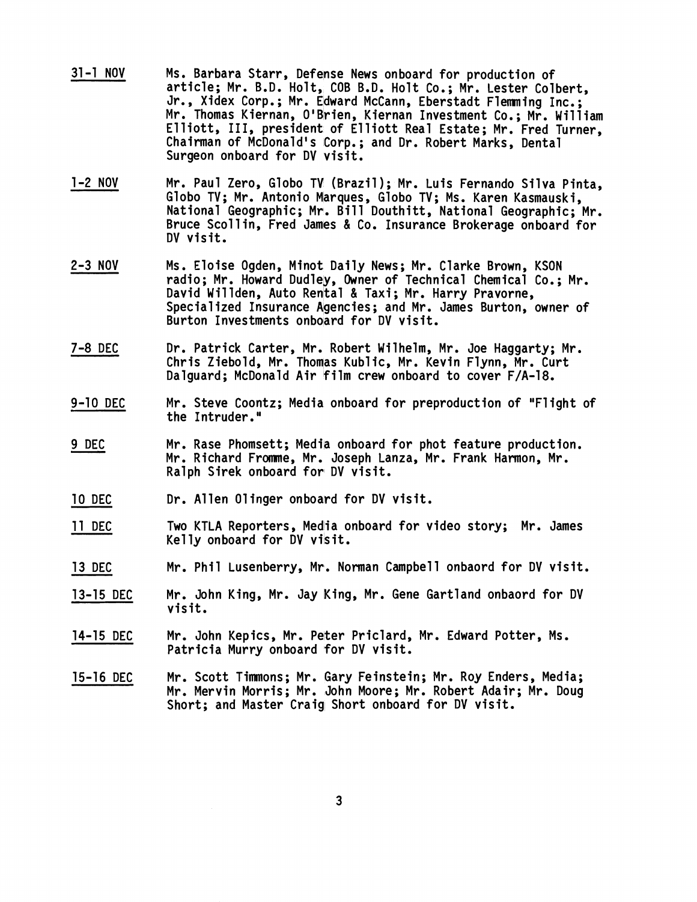- 31-1 NOV Ms. Barbara Starr, Defense News onboard for production of article; Mr. B.D. Holt, COB B.D. Holt Co.; Mr. Lester Colbert, Jr., Xidex Corp.; Mr. Edward McCann, Eberstadt Flemming Inc.; Mr. Thomas Kiernan, O'Brien, Kiernan Investment Co.; Mr. William Elliott, 111, president of Elliott Real Estate; Mr. Fred Turner, Chairman of McDonald's Corp.; and Dr. Robert Marks, Dental Surgeon onboard for DV visit.
- 1-2 NOV Mr. Paul Zero, Globo TV (Brazil); Mr. Luis Fernando Silva Pinta, Globo TV; Mr. Antonio Marques, Globo TV; Ms. Karen Kasmauski, National Geographic; Mr. Bill Douthitt, National Geographic; Mr. Bruce Scollin, Fred James & Co. Insurance Brokerage onboard for DV visit.
- 2-3 NOV Ms. Eloise Ogden, Minot Daily News; Mr. Clarke Brown, KSON<br>radio; Mr. Howard Dudley, Owner of Technical Chemical Co.; Mr.<br>Peuidiliai David Willden, Auto Rental & Taxi; Mr. Harry Pravorne, Specialized Insurance Agencies; and Mr. James Burton, owner of Burton Investments onboard for DV visit.
- 7-8 DEC Dr. Patrick Carter, Mr. Robert Wilhelm, Mr. Joe Haggarty; Mr. Chris Ziebold, Mr. Thomas Kublic, Mr. Kevin Flynn, Mr. Curt Dalguard; McDonald Air film crew onboard to cover F/A-18.
- 9-10 DEC Mr. Steve Coontz; Media onboard for preproduction of "Flight of the Intruder."
- <u>9 10 DEC</u><br>9 10 DEC<br>9 DEC Mr. Rase Phomsett; Media onboard for phot feature production. Mr. Richard Fromne, Mr. Joseph Lanza, Mr. Frank Harmon, Mr. Ralph Sirek onboard for DV visit.
- 10 DEC Dr. Allen Olinger onboard for DV visit.
- 11 DEC Two KTLA Reporters, Media onboard for video story; Mr. James Kelly onboard for DV visit.
- 13 DEC Mr. Phil Lusenberry, Mr. Norman Campbell onbaord for DV visit.
- 13-15 DEC Mr. John King, Mr. Jay King, Mr. Gene Gartland onbaord for DV visit.
- 14-15 DEC Mr. John Kepics, Mr. Peter Priclard, Mr. Edward Potter, Ms. Patricia Murry onboard for DV visit.
- 15-16 DEC Mr. Scott Timnons; Mr. Gary Feinstein; Mr. Roy Enders, Media; Mr. Mervin Morris; Mr. John Moore; Mr. Robert Adair; Mr. Doug Short; and Master Craig Short onboard for DV visit.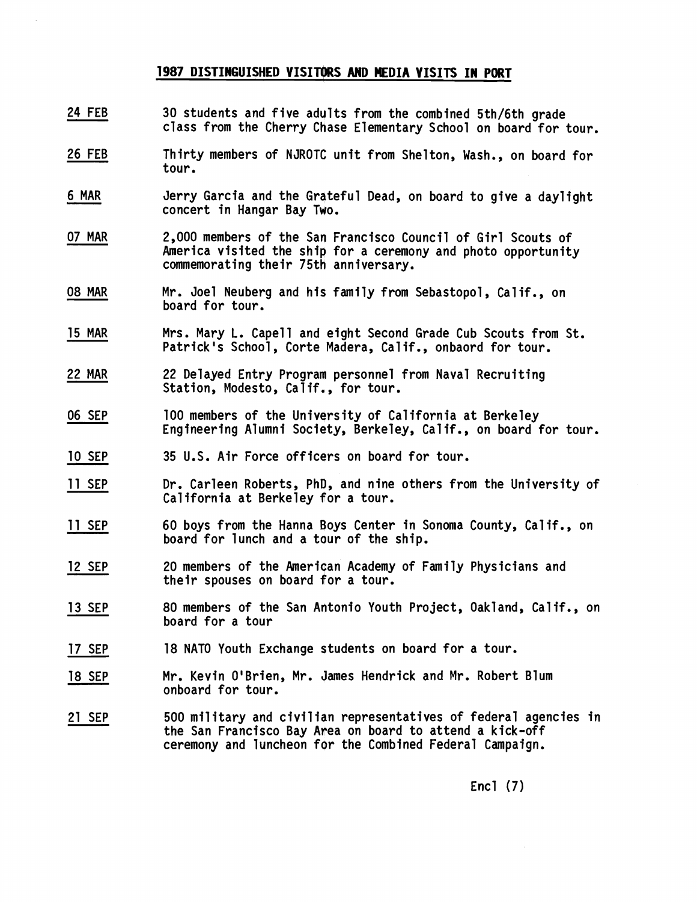#### **1987 DISTINGUISHED VISITORS AND HEDIA VISITS IN PORT**

- **24 FEB**  24 FEB<br>26 FEB<br>6 MAR **30 students and five adqlts from the combined 5th/6th grade class from the Cherry Chase Elementary School on board for tour.**
- **26 FEB Thirty members of NJROTC unit from Shelton, Wash., on board for tour.**
- Jerry Garcia and the Grateful Dead, on board to give a daylight **concert in Hangar Bay Two.**
- **07 MAR 2,000 members of the Sav Francisco Council of Girl Scouts of America visited the ship for a ceremony and photo opportunity commemorating their 75th anniversary.**
- **08 MAR Mr. Joel Neuberg and his family from Sebastopol, Calif., on board for tour.**
- **15 MAR**  Mrs. Mary L. Capell and eight Second Grade Cub Scouts from St. **Patrick Is School, Corte Madera, Calif., onbaord for tour.**
- **22 MAR**  22 Delayed Entry Program personnel from Naval Recruiting **Station, Modesto, Calif,, for tour.**
- **06 SEP**  100 members of the University of California at Berkeley **Engineering Alumni Society, Berkeley, Calif., on board for tour.**
- **10 SEP 35 U.S. Air Force officers on board for tour.**
- **11 SEP Dr. Carleen Roberts, PhD, and nine others from the University of California at Berkeley for a tour.**
- **11 SEP 60 boys from the Hanna boys Center in Sonoma County, Calif., on board for lunch and a tour of the ship.**
- **12 SEP 20 members of the American Academy of Family Physicians and their spouses on board for a tour.**
- **13 SEP 80 members of the San Antonio Youth Project, Oakland, Calif., on board for a tour**
- **17 SEP 18 NATO Youth Exchange students on board for a tour.**
- **18 SEP Mr. Kevin OIBrien, Mr. James Hendrick and Mr. Robert Blum onboard for tour.**
- **21 SEP 500 military and civilian representatives of federal agencies in the San Francisco Bay Area on board to attend a kick-off ceremony and luncheon for the Combined Federal Campaign.**

**Encl (7)**